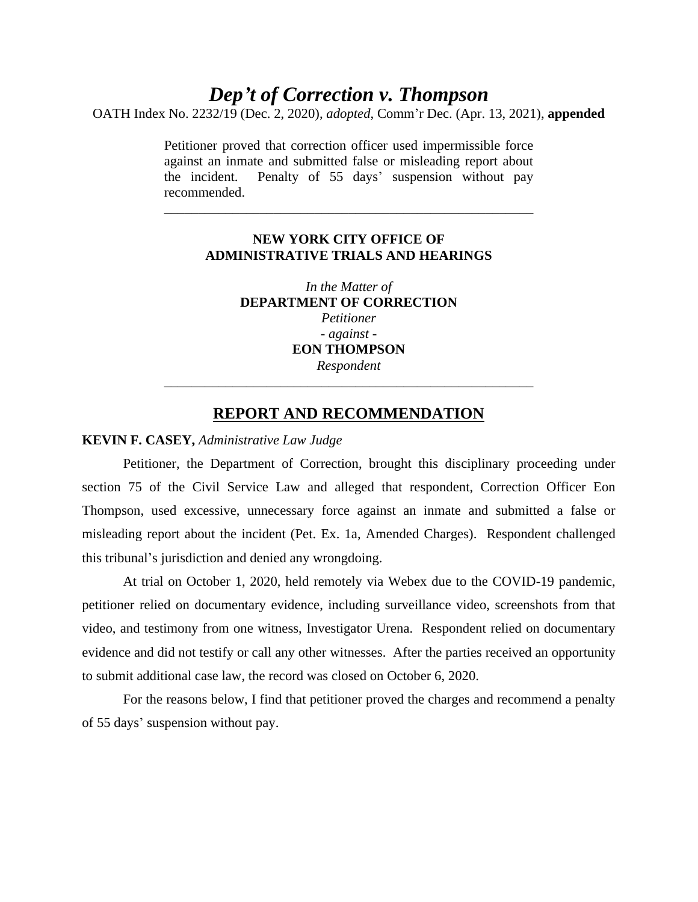# *Dep't of Correction v. Thompson*

OATH Index No. 2232/19 (Dec. 2, 2020), *adopted*, Comm'r Dec. (Apr. 13, 2021), **appended**

Petitioner proved that correction officer used impermissible force against an inmate and submitted false or misleading report about the incident. Penalty of 55 days' suspension without pay recommended.

## **NEW YORK CITY OFFICE OF ADMINISTRATIVE TRIALS AND HEARINGS**

\_\_\_\_\_\_\_\_\_\_\_\_\_\_\_\_\_\_\_\_\_\_\_\_\_\_\_\_\_\_\_\_\_\_\_\_\_\_\_\_\_\_\_\_\_\_\_\_\_\_\_\_\_\_

*In the Matter of* **DEPARTMENT OF CORRECTION** *Petitioner - against -* **EON THOMPSON** *Respondent* \_\_\_\_\_\_\_\_\_\_\_\_\_\_\_\_\_\_\_\_\_\_\_\_\_\_\_\_\_\_\_\_\_\_\_\_\_\_\_\_\_\_\_\_\_\_\_\_\_\_\_\_\_\_

# **REPORT AND RECOMMENDATION**

### **KEVIN F. CASEY,** *Administrative Law Judge*

Petitioner, the Department of Correction, brought this disciplinary proceeding under section 75 of the Civil Service Law and alleged that respondent, Correction Officer Eon Thompson, used excessive, unnecessary force against an inmate and submitted a false or misleading report about the incident (Pet. Ex. 1a, Amended Charges). Respondent challenged this tribunal's jurisdiction and denied any wrongdoing.

At trial on October 1, 2020, held remotely via Webex due to the COVID-19 pandemic, petitioner relied on documentary evidence, including surveillance video, screenshots from that video, and testimony from one witness, Investigator Urena. Respondent relied on documentary evidence and did not testify or call any other witnesses. After the parties received an opportunity to submit additional case law, the record was closed on October 6, 2020.

For the reasons below, I find that petitioner proved the charges and recommend a penalty of 55 days' suspension without pay.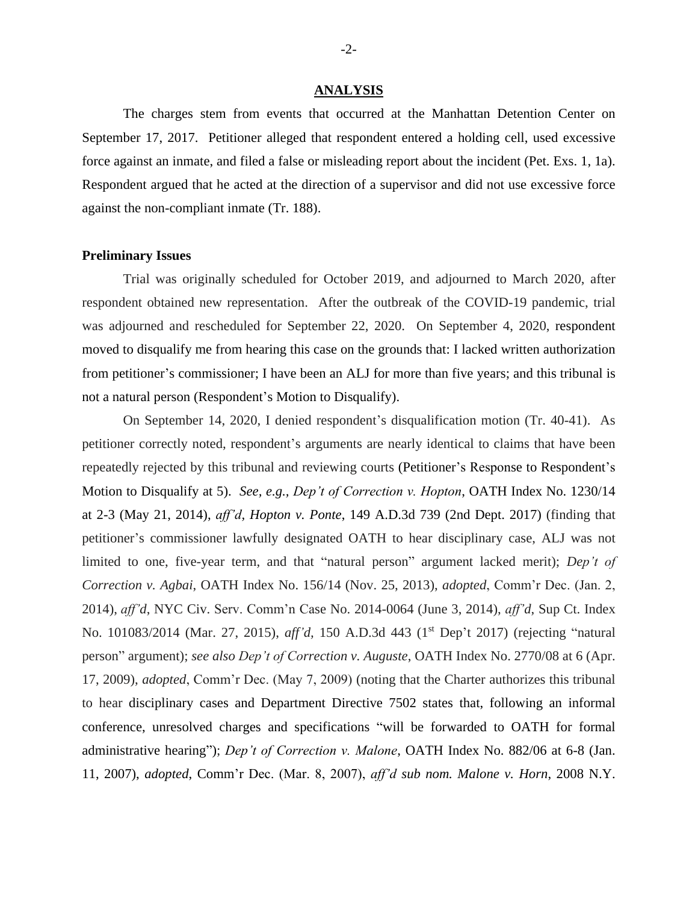#### **ANALYSIS**

The charges stem from events that occurred at the Manhattan Detention Center on September 17, 2017. Petitioner alleged that respondent entered a holding cell, used excessive force against an inmate, and filed a false or misleading report about the incident (Pet. Exs. 1, 1a). Respondent argued that he acted at the direction of a supervisor and did not use excessive force against the non-compliant inmate (Tr. 188).

#### **Preliminary Issues**

Trial was originally scheduled for October 2019, and adjourned to March 2020, after respondent obtained new representation. After the outbreak of the COVID-19 pandemic, trial was adjourned and rescheduled for September 22, 2020. On September 4, 2020, respondent moved to disqualify me from hearing this case on the grounds that: I lacked written authorization from petitioner's commissioner; I have been an ALJ for more than five years; and this tribunal is not a natural person (Respondent's Motion to Disqualify).

On September 14, 2020, I denied respondent's disqualification motion (Tr. 40-41). As petitioner correctly noted, respondent's arguments are nearly identical to claims that have been repeatedly rejected by this tribunal and reviewing courts (Petitioner's Response to Respondent's Motion to Disqualify at 5). *See, e.g., Dep't of Correction v. Hopton*, OATH Index No. 1230/14 at 2-3 (May 21, 2014), *aff'd, Hopton v. Ponte*, 149 A.D.3d 739 (2nd Dept. 2017) (finding that petitioner's commissioner lawfully designated OATH to hear disciplinary case, ALJ was not limited to one, five-year term, and that "natural person" argument lacked merit); *Dep't of Correction v. Agbai*, OATH Index No. 156/14 (Nov. 25, 2013), *adopted*, Comm'r Dec. (Jan. 2, 2014), *aff'd*, NYC Civ. Serv. Comm'n Case No. 2014-0064 (June 3, 2014), *aff'd*, Sup Ct. Index No. 101083/2014 (Mar. 27, 2015), *aff'd*, 150 A.D.3d 443 (1<sup>st</sup> Dep't 2017) (rejecting "natural person" argument); *see also Dep't of Correction v. Auguste*, OATH Index No. 2770/08 at 6 (Apr. 17, 2009), *adopted*, Comm'r Dec. (May 7, 2009) (noting that the Charter authorizes this tribunal to hear disciplinary cases and Department Directive 7502 states that, following an informal conference, unresolved charges and specifications "will be forwarded to OATH for formal administrative hearing"); *Dep't of Correction v. Malone*, OATH Index No. 882/06 at 6-8 (Jan. 11, 2007), *adopted*, Comm'r Dec. (Mar. 8, 2007), *aff'd sub nom. Malone v. Horn*, 2008 N.Y.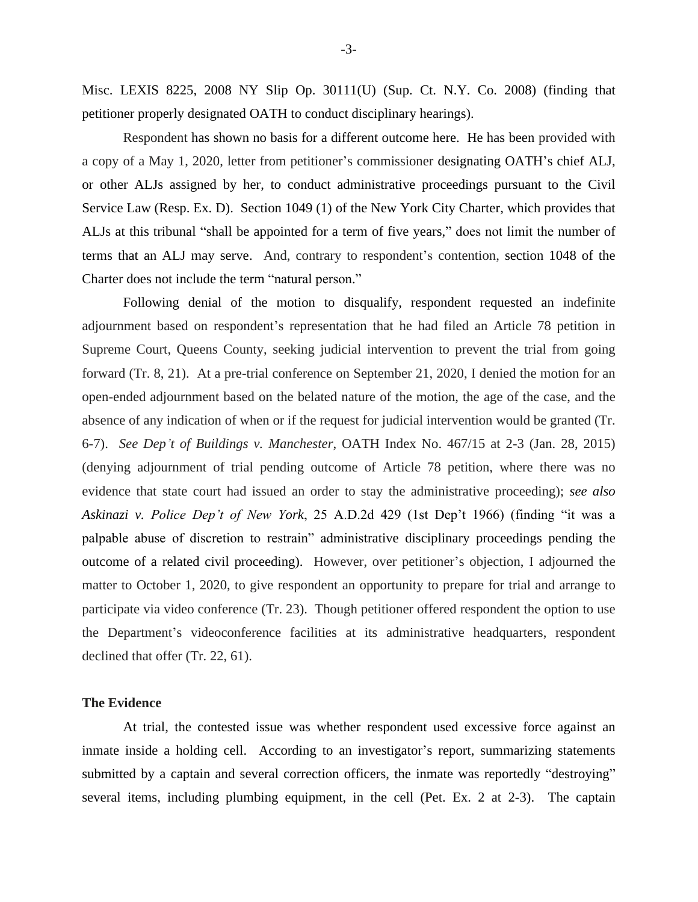Misc. LEXIS 8225, 2008 NY Slip Op. 30111(U) (Sup. Ct. N.Y. Co. 2008) (finding that petitioner properly designated OATH to conduct disciplinary hearings).

Respondent has shown no basis for a different outcome here. He has been provided with a copy of a May 1, 2020, letter from petitioner's commissioner designating OATH's chief ALJ, or other ALJs assigned by her, to conduct administrative proceedings pursuant to the Civil Service Law (Resp. Ex. D). Section 1049 (1) of the New York City Charter, which provides that ALJs at this tribunal "shall be appointed for a term of five years," does not limit the number of terms that an ALJ may serve. And, contrary to respondent's contention, section 1048 of the Charter does not include the term "natural person."

Following denial of the motion to disqualify, respondent requested an indefinite adjournment based on respondent's representation that he had filed an Article 78 petition in Supreme Court, Queens County, seeking judicial intervention to prevent the trial from going forward (Tr. 8, 21). At a pre-trial conference on September 21, 2020, I denied the motion for an open-ended adjournment based on the belated nature of the motion, the age of the case, and the absence of any indication of when or if the request for judicial intervention would be granted (Tr. 6-7). *See Dep't of Buildings v. Manchester*, OATH Index No. 467/15 at 2-3 (Jan. 28, 2015) (denying adjournment of trial pending outcome of Article 78 petition, where there was no evidence that state court had issued an order to stay the administrative proceeding); *see also Askinazi v. Police Dep't of New York*, 25 A.D.2d 429 (1st Dep't 1966) (finding "it was a palpable abuse of discretion to restrain" administrative disciplinary proceedings pending the outcome of a related civil proceeding). However, over petitioner's objection, I adjourned the matter to October 1, 2020, to give respondent an opportunity to prepare for trial and arrange to participate via video conference (Tr. 23). Though petitioner offered respondent the option to use the Department's videoconference facilities at its administrative headquarters, respondent declined that offer (Tr. 22, 61).

#### **The Evidence**

At trial, the contested issue was whether respondent used excessive force against an inmate inside a holding cell. According to an investigator's report, summarizing statements submitted by a captain and several correction officers, the inmate was reportedly "destroying" several items, including plumbing equipment, in the cell (Pet. Ex. 2 at 2-3). The captain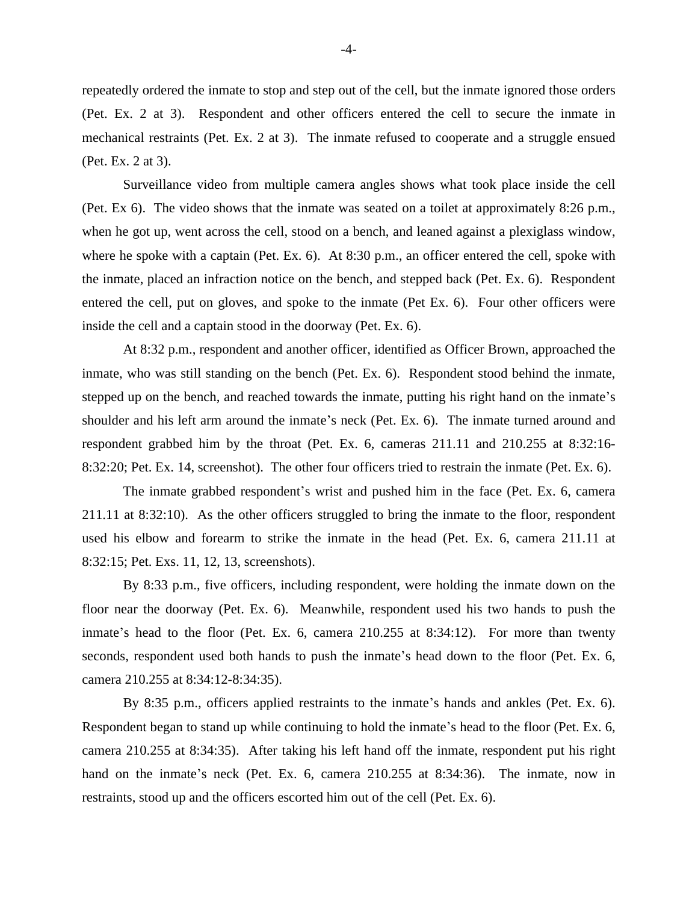repeatedly ordered the inmate to stop and step out of the cell, but the inmate ignored those orders (Pet. Ex. 2 at 3). Respondent and other officers entered the cell to secure the inmate in mechanical restraints (Pet. Ex. 2 at 3). The inmate refused to cooperate and a struggle ensued (Pet. Ex. 2 at 3).

Surveillance video from multiple camera angles shows what took place inside the cell (Pet. Ex 6). The video shows that the inmate was seated on a toilet at approximately 8:26 p.m., when he got up, went across the cell, stood on a bench, and leaned against a plexiglass window, where he spoke with a captain (Pet. Ex. 6). At 8:30 p.m., an officer entered the cell, spoke with the inmate, placed an infraction notice on the bench, and stepped back (Pet. Ex. 6). Respondent entered the cell, put on gloves, and spoke to the inmate (Pet Ex. 6). Four other officers were inside the cell and a captain stood in the doorway (Pet. Ex. 6).

At 8:32 p.m., respondent and another officer, identified as Officer Brown, approached the inmate, who was still standing on the bench (Pet. Ex. 6). Respondent stood behind the inmate, stepped up on the bench, and reached towards the inmate, putting his right hand on the inmate's shoulder and his left arm around the inmate's neck (Pet. Ex. 6). The inmate turned around and respondent grabbed him by the throat (Pet. Ex. 6, cameras 211.11 and 210.255 at 8:32:16- 8:32:20; Pet. Ex. 14, screenshot). The other four officers tried to restrain the inmate (Pet. Ex. 6).

The inmate grabbed respondent's wrist and pushed him in the face (Pet. Ex. 6, camera 211.11 at 8:32:10). As the other officers struggled to bring the inmate to the floor, respondent used his elbow and forearm to strike the inmate in the head (Pet. Ex. 6, camera 211.11 at 8:32:15; Pet. Exs. 11, 12, 13, screenshots).

By 8:33 p.m., five officers, including respondent, were holding the inmate down on the floor near the doorway (Pet. Ex. 6). Meanwhile, respondent used his two hands to push the inmate's head to the floor (Pet. Ex. 6, camera 210.255 at 8:34:12). For more than twenty seconds, respondent used both hands to push the inmate's head down to the floor (Pet. Ex. 6, camera 210.255 at 8:34:12-8:34:35).

By 8:35 p.m., officers applied restraints to the inmate's hands and ankles (Pet. Ex. 6). Respondent began to stand up while continuing to hold the inmate's head to the floor (Pet. Ex. 6, camera 210.255 at 8:34:35). After taking his left hand off the inmate, respondent put his right hand on the inmate's neck (Pet. Ex. 6, camera 210.255 at 8:34:36). The inmate, now in restraints, stood up and the officers escorted him out of the cell (Pet. Ex. 6).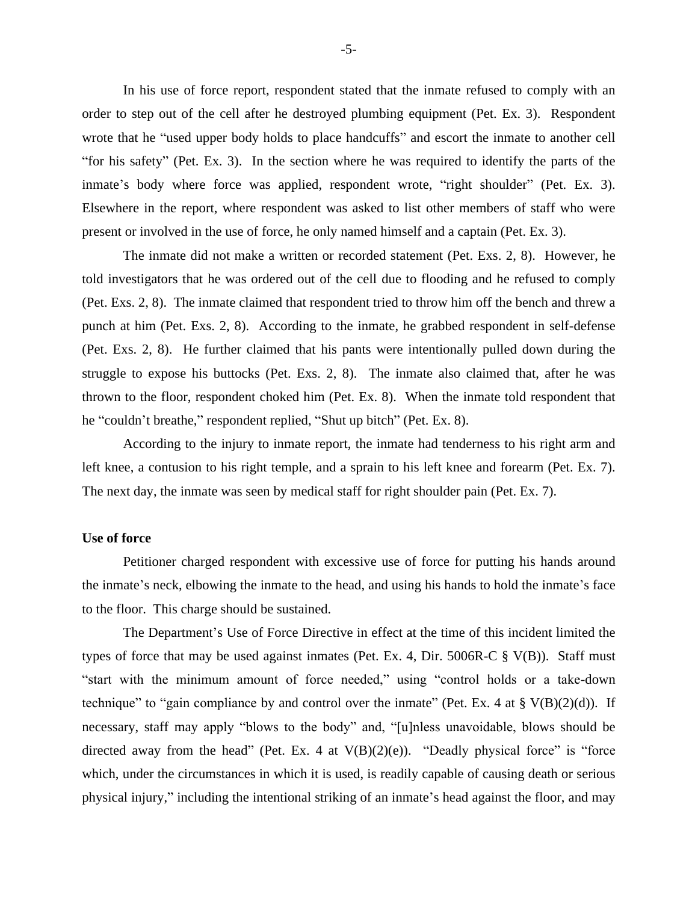In his use of force report, respondent stated that the inmate refused to comply with an order to step out of the cell after he destroyed plumbing equipment (Pet. Ex. 3). Respondent wrote that he "used upper body holds to place handcuffs" and escort the inmate to another cell "for his safety" (Pet. Ex. 3). In the section where he was required to identify the parts of the inmate's body where force was applied, respondent wrote, "right shoulder" (Pet. Ex. 3). Elsewhere in the report, where respondent was asked to list other members of staff who were present or involved in the use of force, he only named himself and a captain (Pet. Ex. 3).

The inmate did not make a written or recorded statement (Pet. Exs. 2, 8). However, he told investigators that he was ordered out of the cell due to flooding and he refused to comply (Pet. Exs. 2, 8). The inmate claimed that respondent tried to throw him off the bench and threw a punch at him (Pet. Exs. 2, 8). According to the inmate, he grabbed respondent in self-defense (Pet. Exs. 2, 8). He further claimed that his pants were intentionally pulled down during the struggle to expose his buttocks (Pet. Exs. 2, 8). The inmate also claimed that, after he was thrown to the floor, respondent choked him (Pet. Ex. 8). When the inmate told respondent that he "couldn't breathe," respondent replied, "Shut up bitch" (Pet. Ex. 8).

According to the injury to inmate report, the inmate had tenderness to his right arm and left knee, a contusion to his right temple, and a sprain to his left knee and forearm (Pet. Ex. 7). The next day, the inmate was seen by medical staff for right shoulder pain (Pet. Ex. 7).

## **Use of force**

Petitioner charged respondent with excessive use of force for putting his hands around the inmate's neck, elbowing the inmate to the head, and using his hands to hold the inmate's face to the floor. This charge should be sustained.

The Department's Use of Force Directive in effect at the time of this incident limited the types of force that may be used against inmates (Pet. Ex. 4, Dir. 5006R-C  $\S$  V(B)). Staff must "start with the minimum amount of force needed," using "control holds or a take-down technique" to "gain compliance by and control over the inmate" (Pet. Ex. 4 at  $\S V(B)(2)(d)$ ). If necessary, staff may apply "blows to the body" and, "[u]nless unavoidable, blows should be directed away from the head" (Pet. Ex. 4 at  $V(B)(2)(e)$ ). "Deadly physical force" is "force which, under the circumstances in which it is used, is readily capable of causing death or serious physical injury," including the intentional striking of an inmate's head against the floor, and may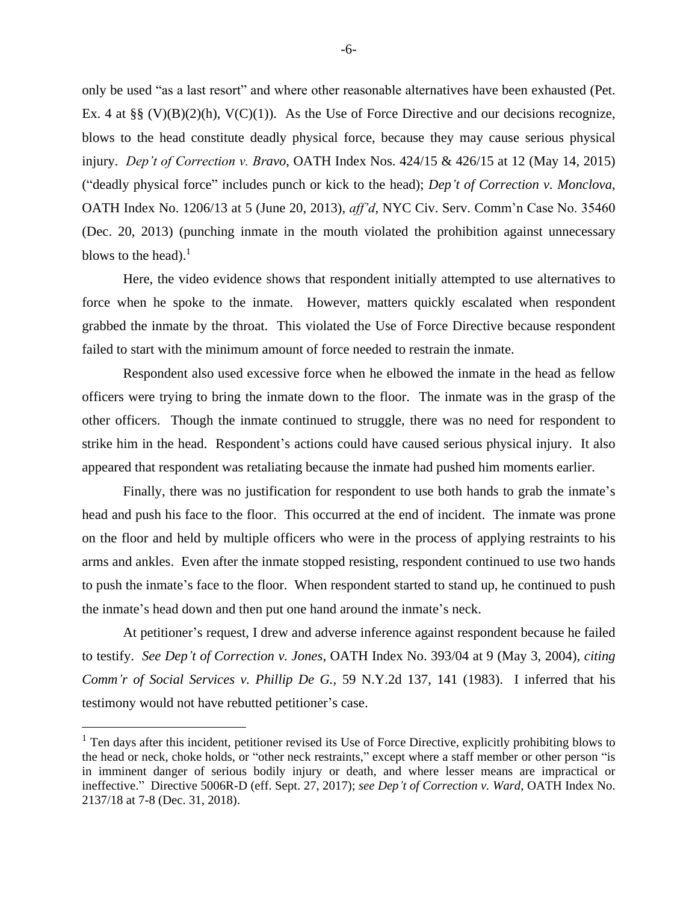only be used "as a last resort" and where other reasonable alternatives have been exhausted (Pet. Ex. 4 at §§ (V)(B)(2)(h), V(C)(1)). As the Use of Force Directive and our decisions recognize, blows to the head constitute deadly physical force, because they may cause serious physical injury. *Dep't of Correction v. Bravo*, OATH Index Nos. 424/15 & 426/15 at 12 (May 14, 2015) ("deadly physical force" includes punch or kick to the head); *Dep't of Correction v. Monclova*, OATH Index No. 1206/13 at 5 (June 20, 2013), *aff'd*, NYC Civ. Serv. Comm'n Case No. 35460 (Dec. 20, 2013) (punching inmate in the mouth violated the prohibition against unnecessary blows to the head).<sup>1</sup>

Here, the video evidence shows that respondent initially attempted to use alternatives to force when he spoke to the inmate. However, matters quickly escalated when respondent grabbed the inmate by the throat. This violated the Use of Force Directive because respondent failed to start with the minimum amount of force needed to restrain the inmate.

Respondent also used excessive force when he elbowed the inmate in the head as fellow officers were trying to bring the inmate down to the floor. The inmate was in the grasp of the other officers. Though the inmate continued to struggle, there was no need for respondent to strike him in the head. Respondent's actions could have caused serious physical injury. It also appeared that respondent was retaliating because the inmate had pushed him moments earlier.

Finally, there was no justification for respondent to use both hands to grab the inmate's head and push his face to the floor. This occurred at the end of incident. The inmate was prone on the floor and held by multiple officers who were in the process of applying restraints to his arms and ankles. Even after the inmate stopped resisting, respondent continued to use two hands to push the inmate's face to the floor. When respondent started to stand up, he continued to push the inmate's head down and then put one hand around the inmate's neck.

At petitioner's request, I drew and adverse inference against respondent because he failed to testify. *See Dep't of Correction v. Jones*, OATH Index No. 393/04 at 9 (May 3, 2004), *citing Comm'r of Social Services v. Phillip De G.,* 59 N.Y.2d 137, 141 (1983). I inferred that his testimony would not have rebutted petitioner's case.

 $<sup>1</sup>$  Ten days after this incident, petitioner revised its Use of Force Directive, explicitly prohibiting blows to</sup> the head or neck, choke holds, or "other neck restraints," except where a staff member or other person "is in imminent danger of serious bodily injury or death, and where lesser means are impractical or ineffective." Directive 5006R-D (eff. Sept. 27, 2017); *see Dep't of Correction v. Ward*, OATH Index No. 2137/18 at 7-8 (Dec. 31, 2018).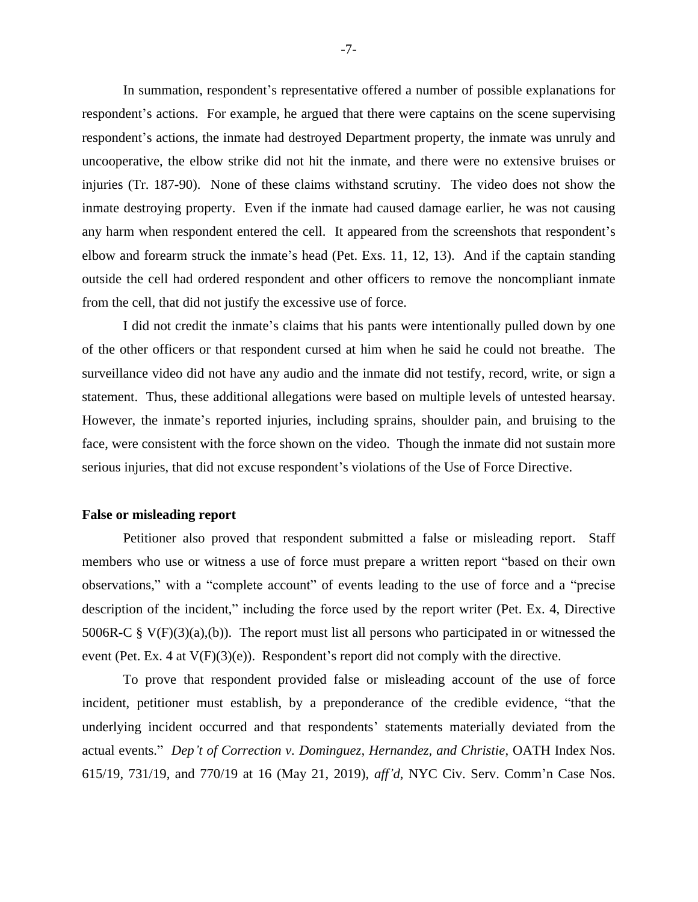In summation, respondent's representative offered a number of possible explanations for respondent's actions. For example, he argued that there were captains on the scene supervising respondent's actions, the inmate had destroyed Department property, the inmate was unruly and uncooperative, the elbow strike did not hit the inmate, and there were no extensive bruises or injuries (Tr. 187-90). None of these claims withstand scrutiny. The video does not show the inmate destroying property. Even if the inmate had caused damage earlier, he was not causing any harm when respondent entered the cell. It appeared from the screenshots that respondent's elbow and forearm struck the inmate's head (Pet. Exs. 11, 12, 13). And if the captain standing outside the cell had ordered respondent and other officers to remove the noncompliant inmate from the cell, that did not justify the excessive use of force.

I did not credit the inmate's claims that his pants were intentionally pulled down by one of the other officers or that respondent cursed at him when he said he could not breathe. The surveillance video did not have any audio and the inmate did not testify, record, write, or sign a statement. Thus, these additional allegations were based on multiple levels of untested hearsay. However, the inmate's reported injuries, including sprains, shoulder pain, and bruising to the face, were consistent with the force shown on the video. Though the inmate did not sustain more serious injuries, that did not excuse respondent's violations of the Use of Force Directive.

### **False or misleading report**

Petitioner also proved that respondent submitted a false or misleading report. Staff members who use or witness a use of force must prepare a written report "based on their own observations," with a "complete account" of events leading to the use of force and a "precise description of the incident," including the force used by the report writer (Pet. Ex. 4, Directive 5006R-C  $\S V(F)(3)(a),(b)$ . The report must list all persons who participated in or witnessed the event (Pet. Ex. 4 at V(F)(3)(e)). Respondent's report did not comply with the directive.

To prove that respondent provided false or misleading account of the use of force incident, petitioner must establish, by a preponderance of the credible evidence, "that the underlying incident occurred and that respondents' statements materially deviated from the actual events." *Dep't of Correction v. Dominguez, Hernandez, and Christie*, OATH Index Nos. 615/19, 731/19, and 770/19 at 16 (May 21, 2019), *aff'd*, NYC Civ. Serv. Comm'n Case Nos.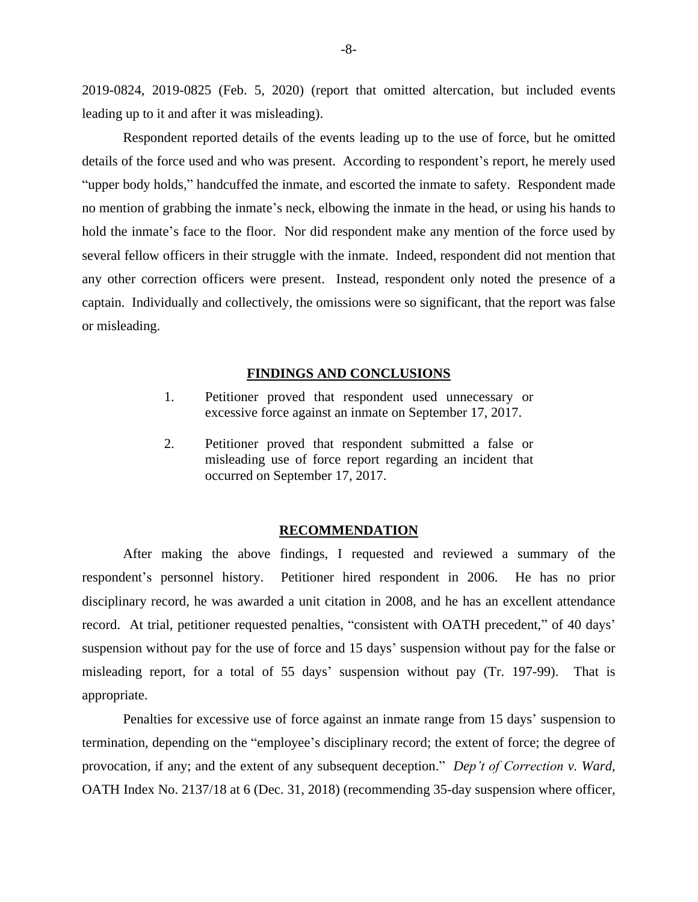2019-0824, 2019-0825 (Feb. 5, 2020) (report that omitted altercation, but included events leading up to it and after it was misleading).

Respondent reported details of the events leading up to the use of force, but he omitted details of the force used and who was present. According to respondent's report, he merely used "upper body holds," handcuffed the inmate, and escorted the inmate to safety. Respondent made no mention of grabbing the inmate's neck, elbowing the inmate in the head, or using his hands to hold the inmate's face to the floor. Nor did respondent make any mention of the force used by several fellow officers in their struggle with the inmate. Indeed, respondent did not mention that any other correction officers were present. Instead, respondent only noted the presence of a captain. Individually and collectively, the omissions were so significant, that the report was false or misleading.

#### **FINDINGS AND CONCLUSIONS**

- 1. Petitioner proved that respondent used unnecessary or excessive force against an inmate on September 17, 2017.
- 2. Petitioner proved that respondent submitted a false or misleading use of force report regarding an incident that occurred on September 17, 2017.

#### **RECOMMENDATION**

After making the above findings, I requested and reviewed a summary of the respondent's personnel history. Petitioner hired respondent in 2006. He has no prior disciplinary record, he was awarded a unit citation in 2008, and he has an excellent attendance record. At trial, petitioner requested penalties, "consistent with OATH precedent," of 40 days' suspension without pay for the use of force and 15 days' suspension without pay for the false or misleading report, for a total of 55 days' suspension without pay (Tr. 197-99). That is appropriate.

Penalties for excessive use of force against an inmate range from 15 days' suspension to termination, depending on the "employee's disciplinary record; the extent of force; the degree of provocation, if any; and the extent of any subsequent deception." *Dep't of Correction v. Ward,*  OATH Index No. 2137/18 at 6 (Dec. 31, 2018) (recommending 35-day suspension where officer,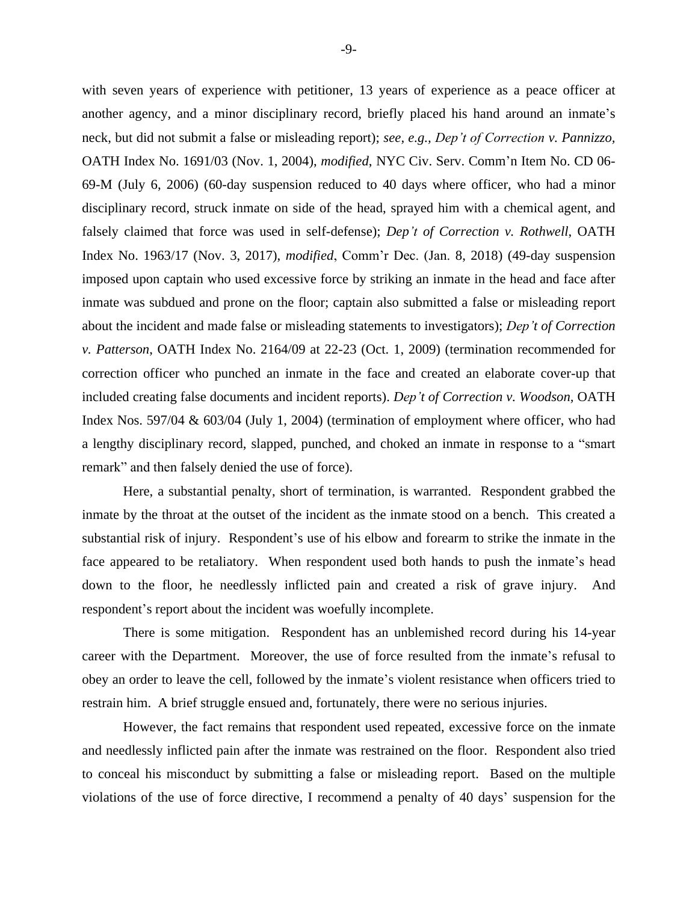with seven years of experience with petitioner, 13 years of experience as a peace officer at another agency, and a minor disciplinary record, briefly placed his hand around an inmate's neck, but did not submit a false or misleading report); *see, e.g., Dep't of Correction v. Pannizzo,* OATH Index No. 1691/03 (Nov. 1, 2004), *modified*, NYC Civ. Serv. Comm'n Item No. CD 06- 69-M (July 6, 2006) (60-day suspension reduced to 40 days where officer, who had a minor disciplinary record, struck inmate on side of the head, sprayed him with a chemical agent, and falsely claimed that force was used in self-defense); *Dep't of Correction v. Rothwell*, OATH Index No. 1963/17 (Nov. 3, 2017), *modified*, Comm'r Dec. (Jan. 8, 2018) (49-day suspension imposed upon captain who used excessive force by striking an inmate in the head and face after inmate was subdued and prone on the floor; captain also submitted a false or misleading report about the incident and made false or misleading statements to investigators); *Dep't of Correction v. Patterson*, OATH Index No. 2164/09 at 22-23 (Oct. 1, 2009) (termination recommended for correction officer who punched an inmate in the face and created an elaborate cover-up that included creating false documents and incident reports). *Dep't of Correction v. Woodson,* OATH Index Nos. 597/04 & 603/04 (July 1, 2004) (termination of employment where officer, who had a lengthy disciplinary record, slapped, punched, and choked an inmate in response to a "smart remark" and then falsely denied the use of force).

Here, a substantial penalty, short of termination, is warranted. Respondent grabbed the inmate by the throat at the outset of the incident as the inmate stood on a bench. This created a substantial risk of injury. Respondent's use of his elbow and forearm to strike the inmate in the face appeared to be retaliatory. When respondent used both hands to push the inmate's head down to the floor, he needlessly inflicted pain and created a risk of grave injury. And respondent's report about the incident was woefully incomplete.

There is some mitigation. Respondent has an unblemished record during his 14-year career with the Department. Moreover, the use of force resulted from the inmate's refusal to obey an order to leave the cell, followed by the inmate's violent resistance when officers tried to restrain him. A brief struggle ensued and, fortunately, there were no serious injuries.

However, the fact remains that respondent used repeated, excessive force on the inmate and needlessly inflicted pain after the inmate was restrained on the floor. Respondent also tried to conceal his misconduct by submitting a false or misleading report. Based on the multiple violations of the use of force directive, I recommend a penalty of 40 days' suspension for the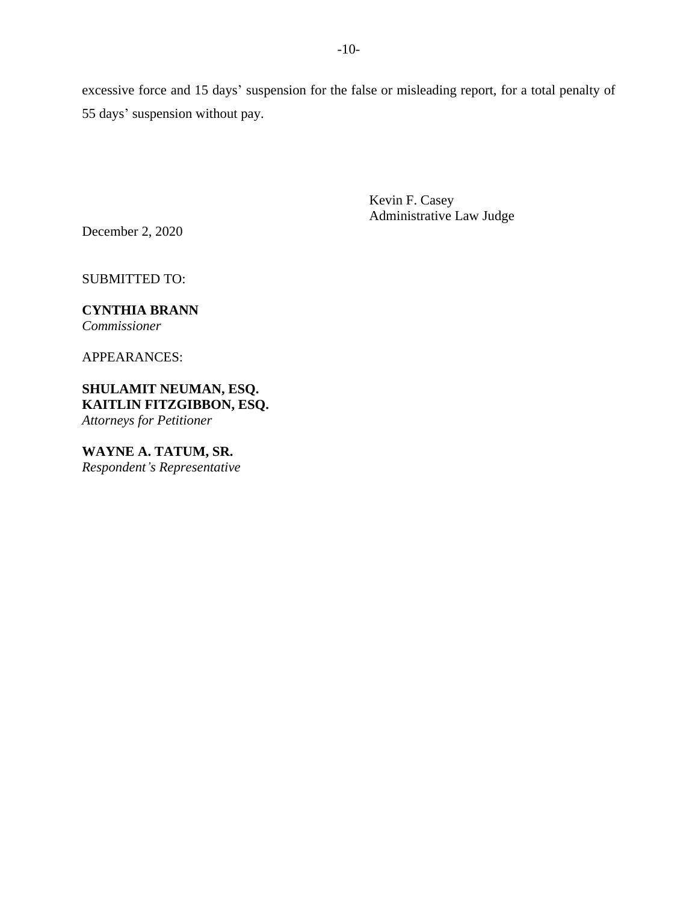excessive force and 15 days' suspension for the false or misleading report, for a total penalty of 55 days' suspension without pay.

> Kevin F. Casey Administrative Law Judge

December 2, 2020

SUBMITTED TO:

# **CYNTHIA BRANN**

*Commissioner*

APPEARANCES:

**SHULAMIT NEUMAN, ESQ. KAITLIN FITZGIBBON, ESQ.** *Attorneys for Petitioner*

**WAYNE A. TATUM, SR.** *Respondent's Representative*